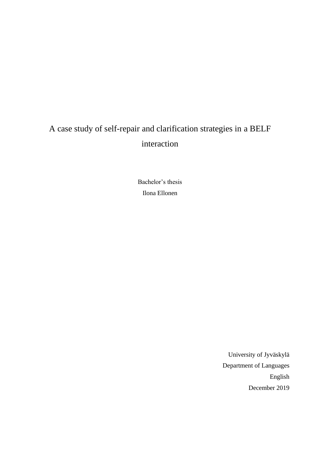# A case study of self-repair and clarification strategies in a BELF interaction

Bachelor's thesis Ilona Ellonen

> University of Jyväskylä Department of Languages English December 2019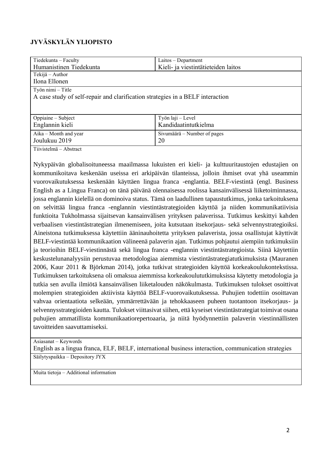# **JYVÄSKYLÄN YLIOPISTO**

| Tiedekunta - Faculty                                                           | Laitos – Department                 |  |
|--------------------------------------------------------------------------------|-------------------------------------|--|
| Humanistinen Tiedekunta                                                        | Kieli- ja viestintätieteiden laitos |  |
| Tekijä – Author                                                                |                                     |  |
| Ilona Ellonen                                                                  |                                     |  |
| Työn nimi – Title                                                              |                                     |  |
| A case study of self-repair and clarification strategies in a BELF interaction |                                     |  |
|                                                                                |                                     |  |
|                                                                                |                                     |  |
| Oppiaine - Subject                                                             | Työn laji – Level                   |  |
| Englannin kieli                                                                | Kandidaatintutkielma                |  |
| Aika – Month and year                                                          | Sivumäärä – Number of pages         |  |
|                                                                                |                                     |  |
| Joulukuu 2019                                                                  | 20                                  |  |
| Tiivistelmä – Abstract                                                         |                                     |  |

Nykypäivän globalisoituneessa maailmassa lukuisten eri kieli- ja kulttuuritaustojen edustajien on kommunikoitava keskenään useissa eri arkipäivän tilanteissa, jolloin ihmiset ovat yhä useammin vuorovaikutuksessa keskenään käyttäen lingua franca -englantia. BELF-viestintä (engl. Business English as a Lingua Franca) on tänä päivänä olennaisessa roolissa kansainvälisessä liiketoiminnassa, jossa englannin kielellä on dominoiva status. Tämä on laadullinen tapaustutkimus, jonka tarkoituksena on selvittää lingua franca -englannin viestintästrategioiden käyttöä ja niiden kommunikatiivisia funktioita Tukholmassa sijaitsevan kansainvälisen yrityksen palaverissa. Tutkimus keskittyi kahden verbaalisen viestintästrategian ilmenemiseen, joita kutsutaan itsekorjaus- sekä selvennystrategioiksi. Aineistona tutkimuksessa käytettiin ääninauhoitetta yrityksen palaverista, jossa osallistujat käyttivät BELF-viestintää kommunikaation välineenä palaverin ajan. Tutkimus pohjautui aiempiin tutkimuksiin ja teorioihin BELF-viestinnästä sekä lingua franca -englannin viestintästrategioista. Siinä käytettiin keskustelunanalyysiin perustuvaa metodologiaa aiemmista viestintästrategiatutkimuksista (Mauranen 2006, Kaur 2011 & Björkman 2014), jotka tutkivat strategioiden käyttöä korkeakoulukontekstissa. Tutkimuksen tarkoituksena oli omaksua aiemmissa korkeakoulututkimuksissa käytetty metodologia ja tutkia sen avulla ilmiötä kansainvälisen liiketalouden näkökulmasta. Tutkimuksen tulokset osoittivat molempien strategioiden aktiivista käyttöä BELF-vuorovaikutuksessa. Puhujien todettiin osoittavan vahvaa orientaatiota selkeään, ymmärrettävään ja tehokkaaseen puheen tuotantoon itsekorjaus- ja selvennysstrategioiden kautta. Tulokset viittasivat siihen, että kyseiset viestintästrategiat toimivat osana puhujien ammatillista kommunikaatiorepertoaaria, ja niitä hyödynnettiin palaverin viestinnällisten tavoitteiden saavuttamiseksi.

Asiasanat – Keywords

English as a lingua franca, ELF, BELF, international business interaction, communication strategies Säilytyspaikka – Depository JYX

Muita tietoja – Additional information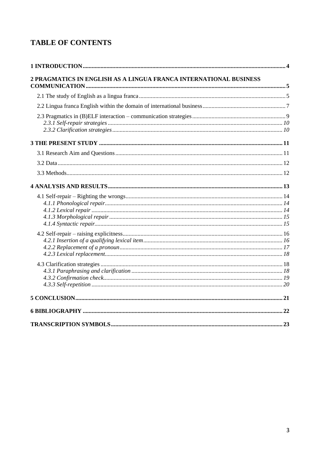# **TABLE OF CONTENTS**

| 2 PRAGMATICS IN ENGLISH AS A LINGUA FRANCA INTERNATIONAL BUSINESS |  |  |
|-------------------------------------------------------------------|--|--|
|                                                                   |  |  |
|                                                                   |  |  |
|                                                                   |  |  |
|                                                                   |  |  |
|                                                                   |  |  |
|                                                                   |  |  |
|                                                                   |  |  |
|                                                                   |  |  |
|                                                                   |  |  |
|                                                                   |  |  |
|                                                                   |  |  |
|                                                                   |  |  |
|                                                                   |  |  |
|                                                                   |  |  |
|                                                                   |  |  |
|                                                                   |  |  |
|                                                                   |  |  |
|                                                                   |  |  |
|                                                                   |  |  |
|                                                                   |  |  |
|                                                                   |  |  |
|                                                                   |  |  |
|                                                                   |  |  |
|                                                                   |  |  |
|                                                                   |  |  |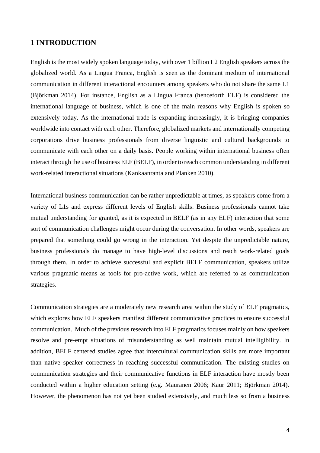### <span id="page-3-0"></span>**1 INTRODUCTION**

English is the most widely spoken language today, with over 1 billion L2 English speakers across the globalized world. As a Lingua Franca, English is seen as the dominant medium of international communication in different interactional encounters among speakers who do not share the same L1 (Björkman 2014). For instance, English as a Lingua Franca (henceforth ELF) is considered the international language of business, which is one of the main reasons why English is spoken so extensively today. As the international trade is expanding increasingly, it is bringing companies worldwide into contact with each other. Therefore, globalized markets and internationally competing corporations drive business professionals from diverse linguistic and cultural backgrounds to communicate with each other on a daily basis. People working within international business often interact through the use of business ELF (BELF), in order to reach common understanding in different work-related interactional situations (Kankaanranta and Planken 2010).

International business communication can be rather unpredictable at times, as speakers come from a variety of L1s and express different levels of English skills. Business professionals cannot take mutual understanding for granted, as it is expected in BELF (as in any ELF) interaction that some sort of communication challenges might occur during the conversation. In other words, speakers are prepared that something could go wrong in the interaction. Yet despite the unpredictable nature, business professionals do manage to have high-level discussions and reach work-related goals through them. In order to achieve successful and explicit BELF communication, speakers utilize various pragmatic means as tools for pro-active work, which are referred to as communication strategies.

Communication strategies are a moderately new research area within the study of ELF pragmatics, which explores how ELF speakers manifest different communicative practices to ensure successful communication. Much of the previous research into ELF pragmatics focuses mainly on how speakers resolve and pre-empt situations of misunderstanding as well maintain mutual intelligibility. In addition, BELF centered studies agree that intercultural communication skills are more important than native speaker correctness in reaching successful communication. The existing studies on communication strategies and their communicative functions in ELF interaction have mostly been conducted within a higher education setting (e.g. Mauranen 2006; Kaur 2011; Björkman 2014). However, the phenomenon has not yet been studied extensively, and much less so from a business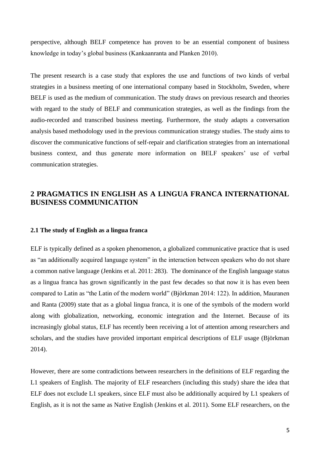perspective, although BELF competence has proven to be an essential component of business knowledge in today's global business (Kankaanranta and Planken 2010).

The present research is a case study that explores the use and functions of two kinds of verbal strategies in a business meeting of one international company based in Stockholm, Sweden, where BELF is used as the medium of communication. The study draws on previous research and theories with regard to the study of BELF and communication strategies, as well as the findings from the audio-recorded and transcribed business meeting. Furthermore, the study adapts a conversation analysis based methodology used in the previous communication strategy studies. The study aims to discover the communicative functions of self-repair and clarification strategies from an international business context, and thus generate more information on BELF speakers' use of verbal communication strategies.

## <span id="page-4-0"></span>**2 PRAGMATICS IN ENGLISH AS A LINGUA FRANCA INTERNATIONAL BUSINESS COMMUNICATION**

#### <span id="page-4-1"></span>**2.1 The study of English as a lingua franca**

ELF is typically defined as a spoken phenomenon, a globalized communicative practice that is used as "an additionally acquired language system" in the interaction between speakers who do not share a common native language (Jenkins et al. 2011: 283). The dominance of the English language status as a lingua franca has grown significantly in the past few decades so that now it is has even been compared to Latin as "the Latin of the modern world" (Björkman 2014: 122). In addition, Mauranen and Ranta (2009) state that as a global lingua franca, it is one of the symbols of the modern world along with globalization, networking, economic integration and the Internet. Because of its increasingly global status, ELF has recently been receiving a lot of attention among researchers and scholars, and the studies have provided important empirical descriptions of ELF usage (Björkman 2014).

However, there are some contradictions between researchers in the definitions of ELF regarding the L1 speakers of English. The majority of ELF researchers (including this study) share the idea that ELF does not exclude L1 speakers, since ELF must also be additionally acquired by L1 speakers of English, as it is not the same as Native English (Jenkins et al. 2011). Some ELF researchers, on the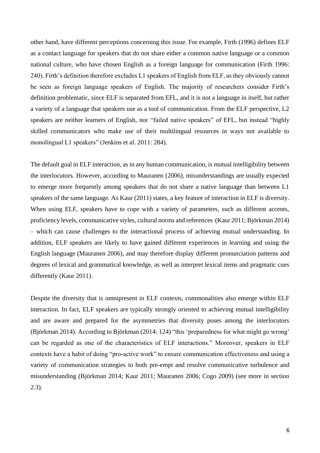other hand, have different perceptions concerning this issue. For example, Firth (1996) defines ELF as a contact language for speakers that do not share either a common native language or a common national culture, who have chosen English as a foreign language for communication (Firth 1996: 240). Firth's definition therefore excludes L1 speakers of English from ELF, as they obviously cannot be seen as foreign language speakers of English. The majority of researchers consider Firth's definition problematic, since ELF is separated from EFL, and it is not a language in itself, but rather a variety of a language that speakers use as a tool of communication. From the ELF perspective, L2 speakers are neither learners of English, nor "failed native speakers" of EFL, but instead "highly skilled communicators who make use of their multilingual resources in ways not available to monolingual L1 speakers" (Jenkins et al. 2011: 284).

The default goal in ELF interaction, as in any human communication, is mutual intelligibility between the interlocutors. However, according to Mauranen (2006), misunderstandings are usually expected to emerge more frequently among speakers that do not share a native language than between L1 speakers of the same language. As Kaur (2011) states, a key feature of interaction in ELF is diversity. When using ELF, speakers have to cope with a variety of parameters, such as different accents, proficiency levels, communicative styles, cultural norms and references (Kaur 2011; Björkman 2014) – which can cause challenges to the interactional process of achieving mutual understanding. In addition, ELF speakers are likely to have gained different experiences in learning and using the English language (Mauranen 2006), and may therefore display different pronunciation patterns and degrees of lexical and grammatical knowledge, as well as interpret lexical items and pragmatic cues differently (Kaur 2011).

Despite the diversity that is omnipresent in ELF contexts, commonalities also emerge within ELF interaction. In fact, ELF speakers are typically strongly oriented to achieving mutual intelligibility and are aware and prepared for the asymmetries that diversity poses among the interlocutors (Björkman 2014). According to Björkman (2014: 124) "this 'preparedness for what might go wrong' can be regarded as one of the characteristics of ELF interactions." Moreover, speakers in ELF contexts have a habit of doing "pro-active work" to ensure communication effectiveness and using a variety of communication strategies to both pre-empt and resolve communicative turbulence and misunderstanding (Björkman 2014; Kaur 2011; Mauranen 2006; Cogo 2009) (see more in section 2.3).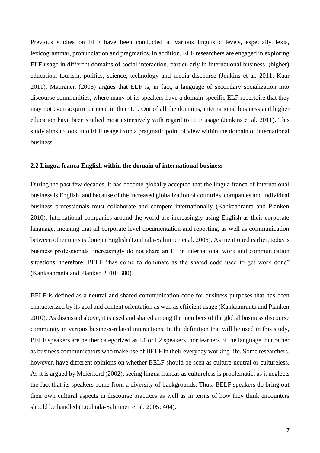Previous studies on ELF have been conducted at various linguistic levels, especially lexis, lexicogrammar, pronunciation and pragmatics. In addition, ELF researchers are engaged in exploring ELF usage in different domains of social interaction, particularly in international business, (higher) education, tourism, politics, science, technology and media discourse (Jenkins et al. 2011; Kaur 2011). Mauranen (2006) argues that ELF is, in fact, a language of secondary socialization into discourse communities, where many of its speakers have a domain-specific ELF repertoire that they may not even acquire or need in their L1. Out of all the domains, international business and higher education have been studied most extensively with regard to ELF usage (Jenkins et al. 2011). This study aims to look into ELF usage from a pragmatic point of view within the domain of international business.

#### <span id="page-6-0"></span>**2.2 Lingua franca English within the domain of international business**

During the past few decades, it has become globally accepted that the lingua franca of international business is English, and because of the increased globalization of countries, companies and individual business professionals must collaborate and compete internationally (Kankaanranta and Planken 2010). International companies around the world are increasingly using English as their corporate language, meaning that all corporate level documentation and reporting, as well as communication between other units is done in English (Louhiala-Salminen et al. 2005). As mentioned earlier, today's business professionals' increasingly do not share an L1 in international work and communication situations; therefore, BELF "has come to dominate as the shared code used to get work done" (Kankaanranta and Planken 2010: 380).

BELF is defined as a neutral and shared communication code for business purposes that has been characterized by its goal and content orientation as well as efficient usage (Kankaanranta and Planken 2010). As discussed above, it is used and shared among the members of the global business discourse community in various business-related interactions. In the definition that will be used in this study, BELF speakers are neither categorized as L1 or L2 speakers, nor learners of the language, but rather as business communicators who make use of BELF in their everyday working life. Some researchers, however, have different opinions on whether BELF should be seen as culture-neutral or cultureless. As it is argued by Meierkord (2002), seeing lingua francas as cultureless is problematic, as it neglects the fact that its speakers come from a diversity of backgrounds. Thus, BELF speakers do bring out their own cultural aspects in discourse practices as well as in terms of how they think encounters should be handled (Louhiala-Salminen et al. 2005: 404).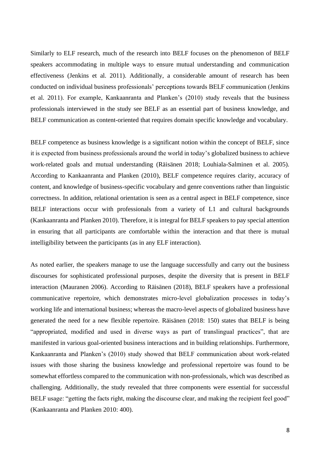Similarly to ELF research, much of the research into BELF focuses on the phenomenon of BELF speakers accommodating in multiple ways to ensure mutual understanding and communication effectiveness (Jenkins et al. 2011). Additionally, a considerable amount of research has been conducted on individual business professionals' perceptions towards BELF communication (Jenkins et al. 2011). For example, Kankaanranta and Planken's (2010) study reveals that the business professionals interviewed in the study see BELF as an essential part of business knowledge, and BELF communication as content-oriented that requires domain specific knowledge and vocabulary.

BELF competence as business knowledge is a significant notion within the concept of BELF, since it is expected from business professionals around the world in today's globalized business to achieve work-related goals and mutual understanding (Räisänen 2018; Louhiala-Salminen et al. 2005). According to Kankaanranta and Planken (2010), BELF competence requires clarity, accuracy of content, and knowledge of business-specific vocabulary and genre conventions rather than linguistic correctness. In addition, relational orientation is seen as a central aspect in BELF competence, since BELF interactions occur with professionals from a variety of L1 and cultural backgrounds (Kankaanranta and Planken 2010). Therefore, it is integral for BELF speakers to pay special attention in ensuring that all participants are comfortable within the interaction and that there is mutual intelligibility between the participants (as in any ELF interaction).

As noted earlier, the speakers manage to use the language successfully and carry out the business discourses for sophisticated professional purposes, despite the diversity that is present in BELF interaction (Mauranen 2006). According to Räisänen (2018), BELF speakers have a professional communicative repertoire, which demonstrates micro-level globalization processes in today's working life and international business; whereas the macro-level aspects of globalized business have generated the need for a new flexible repertoire. Räisänen (2018: 150) states that BELF is being "appropriated, modified and used in diverse ways as part of translingual practices", that are manifested in various goal-oriented business interactions and in building relationships. Furthermore, Kankaanranta and Planken's (2010) study showed that BELF communication about work-related issues with those sharing the business knowledge and professional repertoire was found to be somewhat effortless compared to the communication with non-professionals, which was described as challenging. Additionally, the study revealed that three components were essential for successful BELF usage: "getting the facts right, making the discourse clear, and making the recipient feel good" (Kankaanranta and Planken 2010: 400).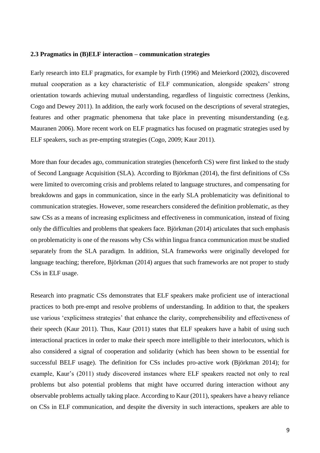#### <span id="page-8-0"></span>**2.3 Pragmatics in (B)ELF interaction – communication strategies**

Early research into ELF pragmatics, for example by Firth (1996) and Meierkord (2002), discovered mutual cooperation as a key characteristic of ELF communication, alongside speakers' strong orientation towards achieving mutual understanding, regardless of linguistic correctness (Jenkins, Cogo and Dewey 2011). In addition, the early work focused on the descriptions of several strategies, features and other pragmatic phenomena that take place in preventing misunderstanding (e.g. Mauranen 2006). More recent work on ELF pragmatics has focused on pragmatic strategies used by ELF speakers, such as pre-empting strategies (Cogo, 2009; Kaur 2011).

More than four decades ago, communication strategies (henceforth CS) were first linked to the study of Second Language Acquisition (SLA). According to Björkman (2014), the first definitions of CSs were limited to overcoming crisis and problems related to language structures, and compensating for breakdowns and gaps in communication, since in the early SLA problematicity was definitional to communication strategies. However, some researchers considered the definition problematic, as they saw CSs as a means of increasing explicitness and effectiveness in communication, instead of fixing only the difficulties and problems that speakers face. Björkman (2014) articulates that such emphasis on problematicity is one of the reasons why CSs within lingua franca communication must be studied separately from the SLA paradigm. In addition, SLA frameworks were originally developed for language teaching; therefore, Björkman (2014) argues that such frameworks are not proper to study CSs in ELF usage.

Research into pragmatic CSs demonstrates that ELF speakers make proficient use of interactional practices to both pre-empt and resolve problems of understanding. In addition to that, the speakers use various 'explicitness strategies' that enhance the clarity, comprehensibility and effectiveness of their speech (Kaur 2011). Thus, Kaur (2011) states that ELF speakers have a habit of using such interactional practices in order to make their speech more intelligible to their interlocutors, which is also considered a signal of cooperation and solidarity (which has been shown to be essential for successful BELF usage). The definition for CSs includes pro-active work (Björkman 2014); for example, Kaur's (2011) study discovered instances where ELF speakers reacted not only to real problems but also potential problems that might have occurred during interaction without any observable problems actually taking place. According to Kaur (2011), speakers have a heavy reliance on CSs in ELF communication, and despite the diversity in such interactions, speakers are able to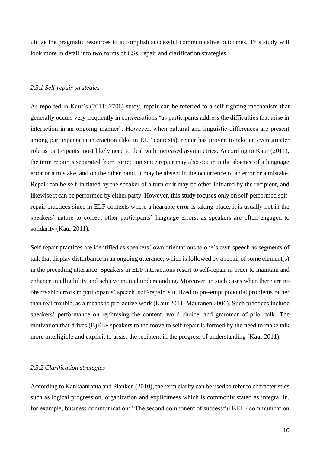utilize the pragmatic resources to accomplish successful communicative outcomes. This study will look more in detail into two forms of CSs: repair and clarification strategies.

#### <span id="page-9-0"></span>*2.3.1 Self-repair strategies*

As reported in Kaur's (2011: 2706) study, repair can be referred to a self-righting mechanism that generally occurs very frequently in conversations "as participants address the difficulties that arise in interaction in an ongoing manner". However, when cultural and linguistic differences are present among participants in interaction (like in ELF contexts), repair has proven to take an even greater role as participants most likely need to deal with increased asymmetries. According to Kaur (2011), the term repair is separated from correction since repair may also occur in the absence of a language error or a mistake, and on the other hand, it may be absent in the occurrence of an error or a mistake. Repair can be self-initiated by the speaker of a turn or it may be other-initiated by the recipient, and likewise it can be performed by either party. However, this study focuses only on self-performed selfrepair practices since in ELF contexts where a hearable error is taking place, it is usually not in the speakers' nature to correct other participants' language errors, as speakers are often engaged to solidarity (Kaur 2011).

Self-repair practices are identified as speakers' own orientations to one's own speech as segments of talk that display disturbance in an ongoing utterance, which is followed by a repair of some element(s) in the preceding utterance. Speakers in ELF interactions resort to self-repair in order to maintain and enhance intelligibility and achieve mutual understanding. Moreover, in such cases when there are no observable errors in participants' speech, self-repair is utilized to pre-empt potential problems rather than real trouble, as a means to pro-active work (Kaur 2011, Mauranen 2006). Such practices include speakers' performance on rephrasing the content, word choice, and grammar of prior talk. The motivation that drives (B)ELF speakers to the move to self-repair is formed by the need to make talk more intelligible and explicit to assist the recipient in the progress of understanding (Kaur 2011).

#### <span id="page-9-1"></span>*2.3.2 Clarification strategies*

According to Kankaanranta and Planken (2010), the term clarity can be used to refer to characteristics such as logical progression, organization and explicitness which is commonly stated as integral in, for example, business communication; "The second component of successful BELF communication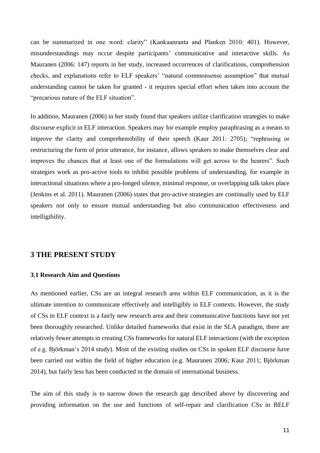can be summarized in one word: clarity" (Kankaanranta and Planken 2010: 401). However, misunderstandings may occur despite participants' communicative and interactive skills. As Mauranen (2006: 147) reports in her study, increased occurrences of clarifications, comprehension checks, and explanations refer to ELF speakers' "natural commonsense assumption" that mutual understanding cannot be taken for granted - it requires special effort when taken into account the "precarious nature of the ELF situation".

In addition, Mauranen (2006) in her study found that speakers utilize clarification strategies to make discourse explicit in ELF interaction. Speakers may for example employ paraphrasing as a means to improve the clarity and comprehensibility of their speech (Kaur 2011: 2705); "rephrasing or restructuring the form of prior utterance, for instance, allows speakers to make themselves clear and improves the chances that at least one of the formulations will get across to the hearers". Such strategies work as pro-active tools to inhibit possible problems of understanding, for example in interactional situations where a pro-longed silence, minimal response, or overlapping talk takes place (Jenkins et al. 2011). Mauranen (2006) states that pro-active strategies are continually used by ELF speakers not only to ensure mutual understanding but also communication effectiveness and intelligibility.

#### <span id="page-10-0"></span>**3 THE PRESENT STUDY**

#### <span id="page-10-1"></span>**3.1 Research Aim and Questions**

As mentioned earlier, CSs are an integral research area within ELF communication, as it is the ultimate intention to communicate effectively and intelligibly in ELF contexts. However, the study of CSs in ELF context is a fairly new research area and their communicative functions have not yet been thoroughly researched. Unlike detailed frameworks that exist in the SLA paradigm, there are relatively fewer attempts in creating CSs frameworks for natural ELF interactions (with the exception of e.g. Björkman's 2014 study). Most of the existing studies on CSs in spoken ELF discourse have been carried out within the field of higher education (e.g. Mauranen 2006; Kaur 2011; Björkman 2014), but fairly less has been conducted in the domain of international business.

The aim of this study is to narrow down the research gap described above by discovering and providing information on the use and functions of self-repair and clarification CSs in BELF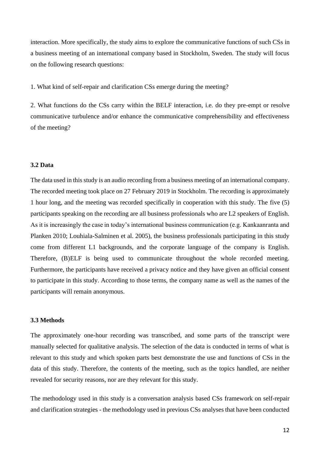interaction. More specifically, the study aims to explore the communicative functions of such CSs in a business meeting of an international company based in Stockholm, Sweden. The study will focus on the following research questions:

1. What kind of self-repair and clarification CSs emerge during the meeting?

2. What functions do the CSs carry within the BELF interaction, i.e. do they pre-empt or resolve communicative turbulence and/or enhance the communicative comprehensibility and effectiveness of the meeting?

#### <span id="page-11-0"></span>**3.2 Data**

The data used in this study is an audio recording from a business meeting of an international company. The recorded meeting took place on 27 February 2019 in Stockholm. The recording is approximately 1 hour long, and the meeting was recorded specifically in cooperation with this study. The five (5) participants speaking on the recording are all business professionals who are L2 speakers of English. As it is increasingly the case in today's international business communication (e.g. Kankaanranta and Planken 2010; Louhiala-Salminen et al. 2005), the business professionals participating in this study come from different L1 backgrounds, and the corporate language of the company is English. Therefore, (B)ELF is being used to communicate throughout the whole recorded meeting. Furthermore, the participants have received a privacy notice and they have given an official consent to participate in this study. According to those terms, the company name as well as the names of the participants will remain anonymous.

#### <span id="page-11-1"></span>**3.3 Methods**

The approximately one-hour recording was transcribed, and some parts of the transcript were manually selected for qualitative analysis. The selection of the data is conducted in terms of what is relevant to this study and which spoken parts best demonstrate the use and functions of CSs in the data of this study. Therefore, the contents of the meeting, such as the topics handled, are neither revealed for security reasons, nor are they relevant for this study.

The methodology used in this study is a conversation analysis based CSs framework on self-repair and clarification strategies - the methodology used in previous CSs analyses that have been conducted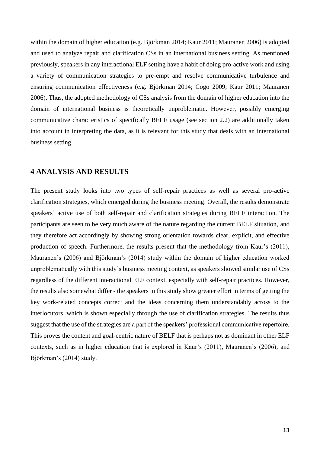within the domain of higher education (e.g. Björkman 2014; Kaur 2011; Mauranen 2006) is adopted and used to analyze repair and clarification CSs in an international business setting. As mentioned previously, speakers in any interactional ELF setting have a habit of doing pro-active work and using a variety of communication strategies to pre-empt and resolve communicative turbulence and ensuring communication effectiveness (e.g. Björkman 2014; Cogo 2009; Kaur 2011; Mauranen 2006). Thus, the adopted methodology of CSs analysis from the domain of higher education into the domain of international business is theoretically unproblematic. However, possibly emerging communicative characteristics of specifically BELF usage (see section 2.2) are additionally taken into account in interpreting the data, as it is relevant for this study that deals with an international business setting.

### <span id="page-12-0"></span>**4 ANALYSIS AND RESULTS**

The present study looks into two types of self-repair practices as well as several pro-active clarification strategies, which emerged during the business meeting. Overall, the results demonstrate speakers' active use of both self-repair and clarification strategies during BELF interaction. The participants are seen to be very much aware of the nature regarding the current BELF situation, and they therefore act accordingly by showing strong orientation towards clear, explicit, and effective production of speech. Furthermore, the results present that the methodology from Kaur's (2011), Mauranen's (2006) and Björkman's (2014) study within the domain of higher education worked unproblematically with this study's business meeting context, as speakers showed similar use of CSs regardless of the different interactional ELF context, especially with self-repair practices. However, the results also somewhat differ - the speakers in this study show greater effort in terms of getting the key work-related concepts correct and the ideas concerning them understandably across to the interlocutors, which is shown especially through the use of clarification strategies. The results thus suggest that the use of the strategies are a part of the speakers' professional communicative repertoire. This proves the content and goal-centric nature of BELF that is perhaps not as dominant in other ELF contexts, such as in higher education that is explored in Kaur's (2011), Mauranen's (2006), and Björkman's (2014) study.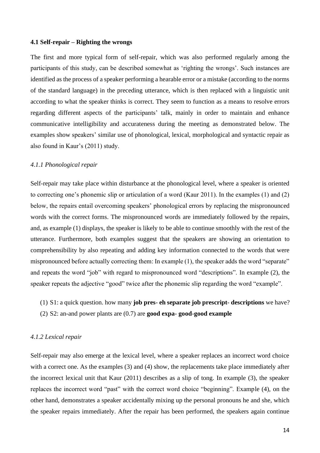#### <span id="page-13-0"></span>**4.1 Self-repair – Righting the wrongs**

The first and more typical form of self-repair, which was also performed regularly among the participants of this study, can be described somewhat as 'righting the wrongs'. Such instances are identified as the process of a speaker performing a hearable error or a mistake (according to the norms of the standard language) in the preceding utterance, which is then replaced with a linguistic unit according to what the speaker thinks is correct. They seem to function as a means to resolve errors regarding different aspects of the participants' talk, mainly in order to maintain and enhance communicative intelligibility and accurateness during the meeting as demonstrated below. The examples show speakers' similar use of phonological, lexical, morphological and syntactic repair as also found in Kaur's (2011) study.

#### <span id="page-13-1"></span>*4.1.1 Phonological repair*

Self-repair may take place within disturbance at the phonological level, where a speaker is oriented to correcting one's phonemic slip or articulation of a word (Kaur 2011). In the examples (1) and (2) below, the repairs entail overcoming speakers' phonological errors by replacing the mispronounced words with the correct forms. The mispronounced words are immediately followed by the repairs, and, as example (1) displays, the speaker is likely to be able to continue smoothly with the rest of the utterance. Furthermore, both examples suggest that the speakers are showing an orientation to comprehensibility by also repeating and adding key information connected to the words that were mispronounced before actually correcting them: In example (1), the speaker adds the word "separate" and repeats the word "job" with regard to mispronounced word "descriptions". In example (2), the speaker repeats the adjective "good" twice after the phonemic slip regarding the word "example".

- (1) S1: a quick question. how many **job pres eh separate job prescript descriptions** we have?
- (2) S2: an-and power plants are (0.7) are **good expa good**-**good example**

#### <span id="page-13-2"></span>*4.1.2 Lexical repair*

Self-repair may also emerge at the lexical level, where a speaker replaces an incorrect word choice with a correct one. As the examples (3) and (4) show, the replacements take place immediately after the incorrect lexical unit that Kaur (2011) describes as a slip of tong. In example (3), the speaker replaces the incorrect word "past" with the correct word choice "beginning". Example (4), on the other hand, demonstrates a speaker accidentally mixing up the personal pronouns he and she, which the speaker repairs immediately. After the repair has been performed, the speakers again continue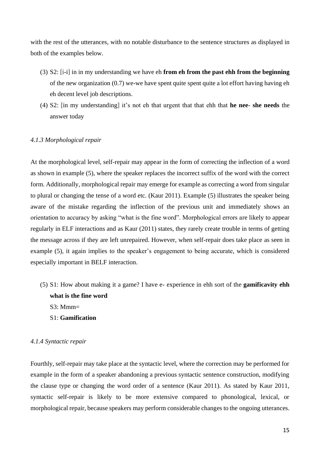with the rest of the utterances, with no notable disturbance to the sentence structures as displayed in both of the examples below.

- (3) S2: [i-i] in in my understanding we have eh **from eh from the past ehh from the beginning** of the new organization (0.7) we-we have spent quite spent quite a lot effort having having eh eh decent level job descriptions.
- (4) S2: [in my understanding] it's not eh that urgent that that ehh that **he nee she needs** the answer today

#### <span id="page-14-0"></span>*4.1.3 Morphological repair*

At the morphological level, self-repair may appear in the form of correcting the inflection of a word as shown in example (5), where the speaker replaces the incorrect suffix of the word with the correct form. Additionally, morphological repair may emerge for example as correcting a word from singular to plural or changing the tense of a word etc. (Kaur 2011). Example (5) illustrates the speaker being aware of the mistake regarding the inflection of the previous unit and immediately shows an orientation to accuracy by asking "what is the fine word". Morphological errors are likely to appear regularly in ELF interactions and as Kaur (2011) states, they rarely create trouble in terms of getting the message across if they are left unrepaired. However, when self-repair does take place as seen in example (5), it again implies to the speaker's engagement to being accurate, which is considered especially important in BELF interaction.

- (5) S1: How about making it a game? I have e- experience in ehh sort of the **gamificavity ehh what is the fine word**  $S3: Mmm=$ 
	- S1: **Gamification**

# <span id="page-14-1"></span>*4.1.4 Syntactic repair*

Fourthly, self-repair may take place at the syntactic level, where the correction may be performed for example in the form of a speaker abandoning a previous syntactic sentence construction, modifying the clause type or changing the word order of a sentence (Kaur 2011). As stated by Kaur 2011, syntactic self-repair is likely to be more extensive compared to phonological, lexical, or morphological repair, because speakers may perform considerable changes to the ongoing utterances.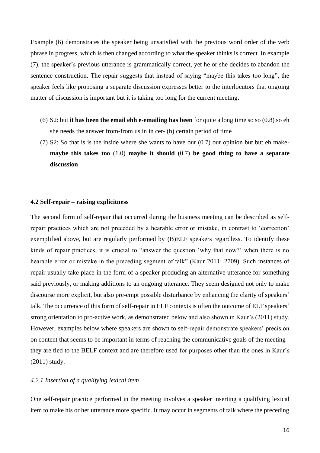Example (6) demonstrates the speaker being unsatisfied with the previous word order of the verb phrase in progress, which is then changed according to what the speaker thinks is correct. In example (7), the speaker's previous utterance is grammatically correct, yet he or she decides to abandon the sentence construction. The repair suggests that instead of saying "maybe this takes too long", the speaker feels like proposing a separate discussion expresses better to the interlocutors that ongoing matter of discussion is important but it is taking too long for the current meeting.

- (6) S2: but **it has been the email ehh e**-**emailing has been** for quite a long time so so (0.8) so eh she needs the answer from-from us in in cer- (h) certain period of time
- (7) S2: So that is is the inside where she wants to have our (0.7) our opinion but but eh make**maybe this takes too** (1.0) **maybe it should** (0.7) **be good thing to have a separate discussion**

#### <span id="page-15-0"></span>**4.2 Self-repair – raising explicitness**

The second form of self-repair that occurred during the business meeting can be described as selfrepair practices which are not preceded by a hearable error or mistake, in contrast to 'correction' exemplified above, but are regularly performed by (B)ELF speakers regardless. To identify these kinds of repair practices, it is crucial to "answer the question 'why that now?' when there is no hearable error or mistake in the preceding segment of talk" (Kaur 2011: 2709). Such instances of repair usually take place in the form of a speaker producing an alternative utterance for something said previously, or making additions to an ongoing utterance. They seem designed not only to make discourse more explicit, but also pre-empt possible disturbance by enhancing the clarity of speakers' talk. The occurrence of this form of self-repair in ELF contexts is often the outcome of ELF speakers' strong orientation to pro-active work, as demonstrated below and also shown in Kaur's (2011) study. However, examples below where speakers are shown to self-repair demonstrate speakers' precision on content that seems to be important in terms of reaching the communicative goals of the meeting they are tied to the BELF context and are therefore used for purposes other than the ones in Kaur's (2011) study.

#### <span id="page-15-1"></span>*4.2.1 Insertion of a qualifying lexical item*

One self-repair practice performed in the meeting involves a speaker inserting a qualifying lexical item to make his or her utterance more specific. It may occur in segments of talk where the preceding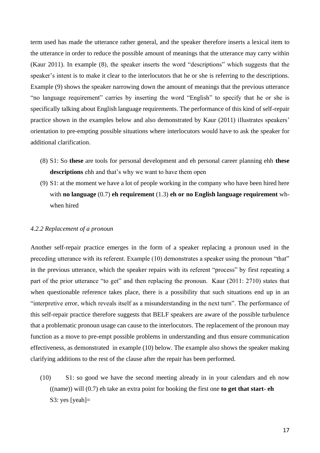term used has made the utterance rather general, and the speaker therefore inserts a lexical item to the utterance in order to reduce the possible amount of meanings that the utterance may carry within (Kaur 2011). In example (8), the speaker inserts the word "descriptions" which suggests that the speaker's intent is to make it clear to the interlocutors that he or she is referring to the descriptions. Example (9) shows the speaker narrowing down the amount of meanings that the previous utterance "no language requirement" carries by inserting the word "English" to specify that he or she is specifically talking about English language requirements. The performance of this kind of self-repair practice shown in the examples below and also demonstrated by Kaur (2011) illustrates speakers' orientation to pre-empting possible situations where interlocutors would have to ask the speaker for additional clarification.

- (8) S1: So **these** are tools for personal development and eh personal career planning ehh **these descriptions** ehh and that's why we want to have them open
- (9) S1: at the moment we have a lot of people working in the company who have been hired here with **no language** (0.7) **eh requirement** (1.3) **eh or no English language requirement** whwhen hired

#### <span id="page-16-0"></span>*4.2.2 Replacement of a pronoun*

Another self-repair practice emerges in the form of a speaker replacing a pronoun used in the preceding utterance with its referent. Example (10) demonstrates a speaker using the pronoun "that" in the previous utterance, which the speaker repairs with its referent "process" by first repeating a part of the prior utterance "to get" and then replacing the pronoun. Kaur (2011: 2710) states that when questionable reference takes place, there is a possibility that such situations end up in an "interpretive error, which reveals itself as a misunderstanding in the next turn". The performance of this self-repair practice therefore suggests that BELF speakers are aware of the possible turbulence that a problematic pronoun usage can cause to the interlocutors. The replacement of the pronoun may function as a move to pre-empt possible problems in understanding and thus ensure communication effectiveness, as demonstrated in example (10) below. The example also shows the speaker making clarifying additions to the rest of the clause after the repair has been performed.

(10) S1: so good we have the second meeting already in in your calendars and eh now ((name)) will (0.7) eh take an extra point for booking the first one **to get that start**- **eh** S3: yes [yeah]=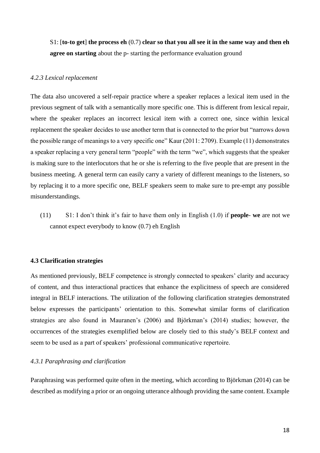S1: [**to**-**to get**] **the process eh** (0.7) **clear so that you all see it in the same way and then eh agree on starting** about the p- starting the performance evaluation ground

#### <span id="page-17-0"></span>*4.2.3 Lexical replacement*

The data also uncovered a self-repair practice where a speaker replaces a lexical item used in the previous segment of talk with a semantically more specific one. This is different from lexical repair, where the speaker replaces an incorrect lexical item with a correct one, since within lexical replacement the speaker decides to use another term that is connected to the prior but "narrows down the possible range of meanings to a very specific one" Kaur (2011: 2709). Example (11) demonstrates a speaker replacing a very general term "people" with the term "we", which suggests that the speaker is making sure to the interlocutors that he or she is referring to the five people that are present in the business meeting. A general term can easily carry a variety of different meanings to the listeners, so by replacing it to a more specific one, BELF speakers seem to make sure to pre-empt any possible misunderstandings.

(11) S1: I don't think it's fair to have them only in English (1.0) if **people**- **we** are not we cannot expect everybody to know (0.7) eh English

#### <span id="page-17-1"></span>**4.3 Clarification strategies**

As mentioned previously, BELF competence is strongly connected to speakers' clarity and accuracy of content, and thus interactional practices that enhance the explicitness of speech are considered integral in BELF interactions. The utilization of the following clarification strategies demonstrated below expresses the participants' orientation to this. Somewhat similar forms of clarification strategies are also found in Mauranen's (2006) and Björkman's (2014) studies; however, the occurrences of the strategies exemplified below are closely tied to this study's BELF context and seem to be used as a part of speakers' professional communicative repertoire.

#### <span id="page-17-2"></span>*4.3.1 Paraphrasing and clarification*

Paraphrasing was performed quite often in the meeting, which according to Björkman (2014) can be described as modifying a prior or an ongoing utterance although providing the same content. Example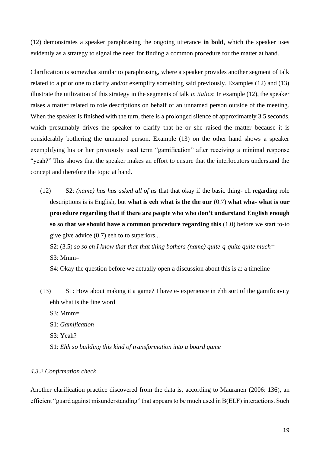(12) demonstrates a speaker paraphrasing the ongoing utterance **in bold**, which the speaker uses evidently as a strategy to signal the need for finding a common procedure for the matter at hand.

Clarification is somewhat similar to paraphrasing, where a speaker provides another segment of talk related to a prior one to clarify and/or exemplify something said previously. Examples (12) and (13) illustrate the utilization of this strategy in the segments of talk *in italics*: In example (12), the speaker raises a matter related to role descriptions on behalf of an unnamed person outside of the meeting. When the speaker is finished with the turn, there is a prolonged silence of approximately 3.5 seconds, which presumably drives the speaker to clarify that he or she raised the matter because it is considerably bothering the unnamed person. Example (13) on the other hand shows a speaker exemplifying his or her previously used term "gamification" after receiving a minimal response "yeah?" This shows that the speaker makes an effort to ensure that the interlocutors understand the concept and therefore the topic at hand.

(12) S2: *(name) has has asked all of us* that that okay if the basic thing- eh regarding role descriptions is is English, but **what is eeh what is the the our** (0.7) **what wha**- **what is our procedure regarding that if there are people who who don't understand English enough so so that we should have a common procedure regarding this** (1.0) before we start to-to give give advice (0.7) eeh to to superiors...

S2: (3.5) *so so eh I know that-that-that thing bothers (name) quite-q-quite quite much*=

 $S3: Mmm=$ 

- S4: Okay the question before we actually open a discussion about this is a: a timeline
- (13) S1: How about making it a game? I have e- experience in ehh sort of the gamificavity ehh what is the fine word
	- $S3: Mmm=$
	- S1: *Gamification*
	- S3: Yeah?
	- S1: *Ehh so building this kind of transformation into a board game*

#### <span id="page-18-0"></span>*4.3.2 Confirmation check*

Another clarification practice discovered from the data is, according to Mauranen (2006: 136), an efficient "guard against misunderstanding" that appears to be much used in B(ELF) interactions. Such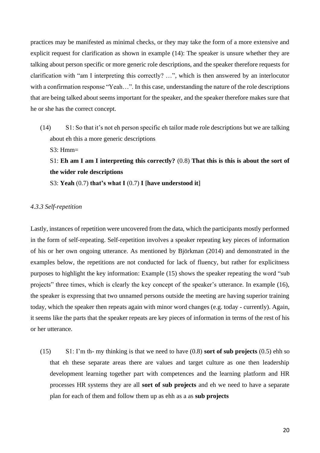practices may be manifested as minimal checks, or they may take the form of a more extensive and explicit request for clarification as shown in example (14): The speaker is unsure whether they are talking about person specific or more generic role descriptions, and the speaker therefore requests for clarification with "am I interpreting this correctly? …", which is then answered by an interlocutor with a confirmation response "Yeah...". In this case, understanding the nature of the role descriptions that are being talked about seems important for the speaker, and the speaker therefore makes sure that he or she has the correct concept.

- (14) S1: So that it's not eh person specific eh tailor made role descriptions but we are talking about eh this a more generic descriptions
	- $S3: Hmm=$

# S1: **Eh am I am I interpreting this correctly?** (0.8) **That this is this is about the sort of the wider role descriptions**

S3: **Yeah** (0.7) **that's what I** (0.7) **I [have understood it]**

#### <span id="page-19-0"></span>*4.3.3 Self-repetition*

Lastly, instances of repetition were uncovered from the data, which the participants mostly performed in the form of self-repeating. Self-repetition involves a speaker repeating key pieces of information of his or her own ongoing utterance. As mentioned by Björkman (2014) and demonstrated in the examples below, the repetitions are not conducted for lack of fluency, but rather for explicitness purposes to highlight the key information: Example (15) shows the speaker repeating the word "sub projects" three times, which is clearly the key concept of the speaker's utterance. In example (16), the speaker is expressing that two unnamed persons outside the meeting are having superior training today, which the speaker then repeats again with minor word changes (e.g. today - currently). Again, it seems like the parts that the speaker repeats are key pieces of information in terms of the rest of his or her utterance.

(15) S1: I'm th- my thinking is that we need to have (0.8) **sort of sub projects** (0.5) ehh so that eh these separate areas there are values and target culture as one then leadership development learning together part with competences and the learning platform and HR processes HR systems they are all **sort of sub projects** and eh we need to have a separate plan for each of them and follow them up as ehh as a as **sub projects**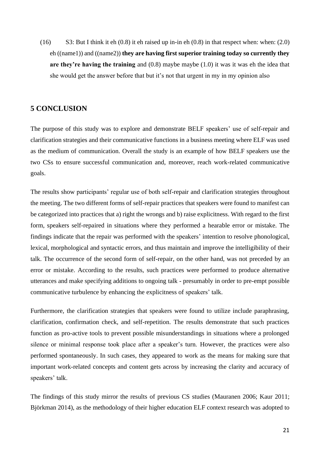(16) S3: But I think it eh (0.8) it eh raised up in-in eh (0.8) in that respect when: when: (2.0) eh ((name1)) and ((name2)) **they are having first superior training today so currently they are they're having the training** and (0.8) maybe maybe (1.0) it was it was eh the idea that she would get the answer before that but it's not that urgent in my in my opinion also

#### <span id="page-20-0"></span>**5 CONCLUSION**

The purpose of this study was to explore and demonstrate BELF speakers' use of self-repair and clarification strategies and their communicative functions in a business meeting where ELF was used as the medium of communication. Overall the study is an example of how BELF speakers use the two CSs to ensure successful communication and, moreover, reach work-related communicative goals.

The results show participants' regular use of both self-repair and clarification strategies throughout the meeting. The two different forms of self-repair practices that speakers were found to manifest can be categorized into practices that a) right the wrongs and b) raise explicitness. With regard to the first form, speakers self-repaired in situations where they performed a hearable error or mistake. The findings indicate that the repair was performed with the speakers' intention to resolve phonological, lexical, morphological and syntactic errors, and thus maintain and improve the intelligibility of their talk. The occurrence of the second form of self-repair, on the other hand, was not preceded by an error or mistake. According to the results, such practices were performed to produce alternative utterances and make specifying additions to ongoing talk - presumably in order to pre-empt possible communicative turbulence by enhancing the explicitness of speakers' talk.

Furthermore, the clarification strategies that speakers were found to utilize include paraphrasing, clarification, confirmation check, and self-repetition. The results demonstrate that such practices function as pro-active tools to prevent possible misunderstandings in situations where a prolonged silence or minimal response took place after a speaker's turn. However, the practices were also performed spontaneously. In such cases, they appeared to work as the means for making sure that important work-related concepts and content gets across by increasing the clarity and accuracy of speakers' talk.

The findings of this study mirror the results of previous CS studies (Mauranen 2006; Kaur 2011; Björkman 2014), as the methodology of their higher education ELF context research was adopted to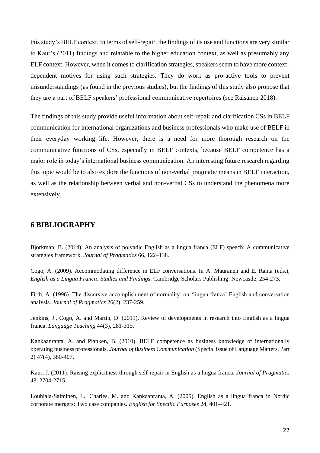this study's BELF context. In terms of self-repair, the findings of its use and functions are very similar to Kaur's (2011) findings and relatable to the higher education context, as well as presumably any ELF context. However, when it comes to clarification strategies, speakers seem to have more contextdependent motives for using such strategies. They do work as pro-active tools to prevent misunderstandings (as found in the previous studies), but the findings of this study also propose that they are a part of BELF speakers' professional communicative repertoires (see Räisänen 2018).

The findings of this study provide useful information about self-repair and clarification CSs in BELF communication for international organizations and business professionals who make use of BELF in their everyday working life. However, there is a need for more thorough research on the communicative functions of CSs, especially in BELF contexts, because BELF competence has a major role in today's international business communication. An interesting future research regarding this topic would be to also explore the functions of non-verbal pragmatic means in BELF interaction, as well as the relationship between verbal and non-verbal CSs to understand the phenomena more extensively.

### <span id="page-21-0"></span>**6 BIBLIOGRAPHY**

Björkman, B. (2014). An analysis of polyadic English as a lingua franca (ELF) speech: A communicative strategies framework. *Journal of Pragmatics* 66, 122–138.

Cogo, A. (2009). Accommodating difference in ELF conversations. In A. Mauranen and E. Ranta (eds.), *English as a Lingua Franca: Studies and Findings*. Cambridge Scholars Publishing: Newcastle, 254-273.

Firth, A. (1996). The discursive accomplishment of normality: on 'lingua franca' English and conversation analysis. *Journal of Pragmatics* 26(2), 237-259.

Jenkins, J., Cogo, A. and Martin, D. (2011). Review of developments in research into English as a lingua franca. *Language Teaching* 44(3), 281-315.

Kankaanranta, A. and Planken, B. (2010). BELF competence as business knowledge of internationally operating business professionals. *Journal of Business Communication* (Special issue of Language Matters, Part 2) 47(4), 380-407.

Kaur, J. (2011). Raising explicitness through self-repair in English as a lingua franca. *Journal of Pragmatics* 43, 2704-2715.

Louhiala-Salminen, L., Charles, M. and Kankaanranta, A. (2005). English as a lingua franca in Nordic corporate mergers: Two case companies. *English for Specific Purposes* 24, 401–421.